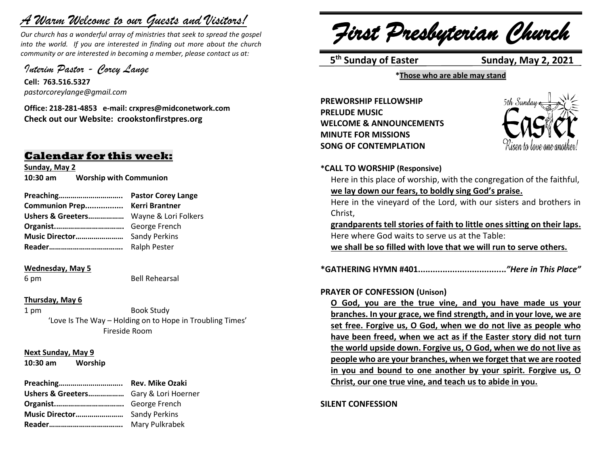# *A Warm Welcome to our Guests and Visitors!*

*Our church has a wonderful array of ministries that seek to spread the gospel into the world. If you are interested in finding out more about the church community or are interested in becoming a member, please contact us at:*

*Interim Pastor - Corey Lange* 

**Cell: 763.516.5327** *pastorcoreylange@gmail.com*

**Office: 218-281-4853 e-mail: crxpres@midconetwork.com Check out our Website: crookstonfirstpres.org**

## **Calendar for this week:**

**Sunday, May 2 10:30 am Worship with Communion**

**Preaching………………………….. Pastor Corey Lange Communion Prep................. Kerri Brantner Ushers & Greeters………………** Wayne & Lori Folkers **Organist.…………………………….** George French **Music Director……………………** Sandy Perkins **Reader……………………………….** Ralph Pester

#### **Wednesday, May 5**

6 pm Bell Rehearsal

## **Thursday, May 6**

1 pm Book Study 'Love Is The Way – Holding on to Hope in Troubling Times' Fireside Room

**Next Sunday, May 9**

**10:30 am Worship** 

| Ushers & Greeters Gary & Lori Hoerner |                |
|---------------------------------------|----------------|
|                                       |                |
|                                       |                |
|                                       | Mary Pulkrabek |

*First Presbyterian Church*

5<sup>th</sup> Sunday of Easter Sunday, May 2, 2021

**\*Those who are able may stand**

**PREWORSHIP FELLOWSHIP PRELUDE MUSIC WELCOME & ANNOUNCEMENTS MINUTE FOR MISSIONS SONG OF CONTEMPLATION** 



**\*CALL TO WORSHIP (Responsive)**

Here in this place of worship, with the congregation of the faithful, **we lay down our fears, to boldly sing God's praise.**

Here in the vineyard of the Lord, with our sisters and brothers in Christ,

**grandparents tell stories of faith to little ones sitting on their laps.** Here where God waits to serve us at the Table: **we shall be so filled with love that we will run to serve others.**

**\*GATHERING HYMN #401....................................***"Here in This Place"*

## **PRAYER OF CONFESSION (Unison)**

**O God, you are the true vine, and you have made us your branches. In your grace, we find strength, and in your love, we are set free. Forgive us, O God, when we do not live as people who have been freed, when we act as if the Easter story did not turn the world upside down. Forgive us, O God, when we do not live as people who are your branches, when we forget that we are rooted in you and bound to one another by your spirit. Forgive us, O Christ, our one true vine, and teach us to abide in you.**

**SILENT CONFESSION**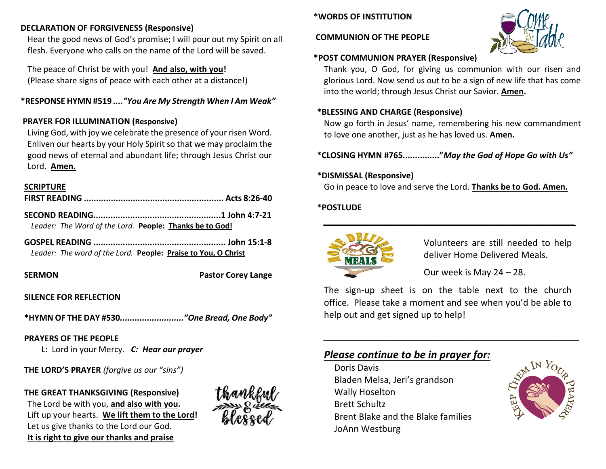## **DECLARATION OF FORGIVENESS (Responsive)**

Hear the good news of God's promise; I will pour out my Spirit on all flesh. Everyone who calls on the name of the Lord will be saved.

The peace of Christ be with you! **And also, with you!** (Please share signs of peace with each other at a distance!)

## **\*RESPONSE HYMN #519** *...."You Are My Strength When I Am Weak"*

## **PRAYER FOR ILLUMINATION (Responsive)**

Living God, with joy we celebrate the presence of your risen Word. Enliven our hearts by your Holy Spirit so that we may proclaim the good news of eternal and abundant life; through Jesus Christ our Lord. **Amen.**

#### **SCRIPTURE**

*Leader: The Word of the Lord.* **People: Thanks be to God!**

**GOSPEL READING ...................................................... John 15:1-8** *Leader: The word of the Lord.* **People: Praise to You, O Christ**

**SERMON** Pastor Corey Lange

## **SILENCE FOR REFLECTION**

**\*HYMN OF THE DAY #530***.........................."One Bread, One Body"*

## **PRAYERS OF THE PEOPLE**

L: Lord in your Mercy. *C: Hear our prayer*

**THE LORD'S PRAYER** *(forgive us our "sins")* 

**THE GREAT THANKSGIVING (Responsive)** The Lord be with you, **and also with you.**  Lift up your hearts. **We lift them to the Lord!**  Let us give thanks to the Lord our God. **It is right to give our thanks and praise**



## **\*WORDS OF INSTITUTION**

#### **COMMUNION OF THE PEOPLE**



## **\*POST COMMUNION PRAYER (Responsive)**

Thank you, O God, for giving us communion with our risen and glorious Lord. Now send us out to be a sign of new life that has come into the world; through Jesus Christ our Savior. **Amen.**

### **\*BLESSING AND CHARGE (Responsive)**

Now go forth in Jesus' name, remembering his new commandment to love one another, just as he has loved us. **Amen.**

**\*CLOSING HYMN #765..............."***May the God of Hope Go with Us"*

## **\*DISMISSAL (Responsive)**

Go in peace to love and serve the Lord. **Thanks be to God. Amen.**

*\_\_\_\_\_\_\_\_\_\_\_\_\_\_\_\_\_\_\_\_\_\_\_\_\_\_\_\_\_\_\_\_\_\_\_\_\_\_\_\_\_\_\_\_*

## **\*POSTLUDE**



Volunteers are still needed to help deliver Home Delivered Meals.

Our week is May 24 – 28.

The sign-up sheet is on the table next to the church office. Please take a moment and see when you'd be able to help out and get signed up to help!

*\_\_\_\_\_\_\_\_\_\_\_\_\_\_\_\_\_\_\_\_\_\_\_\_\_\_\_\_\_\_\_\_\_\_\_\_\_\_\_\_\_\_\_\_\_\_\_\_\_\_\_\_\_\_\_\_\_\_\_\_\_\_\_\_\_\_\_*

## *Please continue to be in prayer for:*

Doris Davis Bladen Melsa, Jeri's grandson Wally Hoselton Brett Schultz Brent Blake and the Blake families JoAnn Westburg

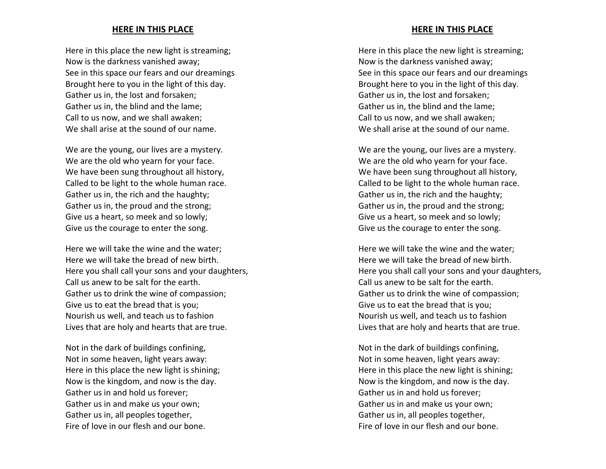#### **HERE IN THIS PLACE**

Here in this place the new light is streaming; Now is the darkness vanished away; See in this space our fears and our dreamings Brought here to you in the light of this day. Gather us in, the lost and forsaken; Gather us in, the blind and the lame; Call to us now, and we shall awaken; We shall arise at the sound of our name.

We are the young, our lives are a mystery. We are the old who yearn for your face. We have been sung throughout all history, Called to be light to the whole human race. Gather us in, the rich and the haughty; Gather us in, the proud and the strong; Give us a heart, so meek and so lowly; Give us the courage to enter the song.

Here we will take the wine and the water; Here we will take the bread of new birth. Here you shall call your sons and your daughters, Call us anew to be salt for the earth. Gather us to drink the wine of compassion; Give us to eat the bread that is you; Nourish us well, and teach us to fashion Lives that are holy and hearts that are true.

Not in the dark of buildings confining, Not in some heaven, light years away: Here in this place the new light is shining; Now is the kingdom, and now is the day. Gather us in and hold us forever; Gather us in and make us your own; Gather us in, all peoples together, Fire of love in our flesh and our bone.

#### **HERE IN THIS PLACE**

Here in this place the new light is streaming; Now is the darkness vanished away; See in this space our fears and our dreamings Brought here to you in the light of this day. Gather us in, the lost and forsaken; Gather us in, the blind and the lame; Call to us now, and we shall awaken; We shall arise at the sound of our name.

We are the young, our lives are a mystery. We are the old who yearn for your face. We have been sung throughout all history, Called to be light to the whole human race. Gather us in, the rich and the haughty; Gather us in, the proud and the strong; Give us a heart, so meek and so lowly; Give us the courage to enter the song.

Here we will take the wine and the water; Here we will take the bread of new birth. Here you shall call your sons and your daughters, Call us anew to be salt for the earth. Gather us to drink the wine of compassion; Give us to eat the bread that is you; Nourish us well, and teach us to fashion Lives that are holy and hearts that are true.

Not in the dark of buildings confining, Not in some heaven, light years away: Here in this place the new light is shining; Now is the kingdom, and now is the day. Gather us in and hold us forever; Gather us in and make us your own; Gather us in, all peoples together, Fire of love in our flesh and our bone.